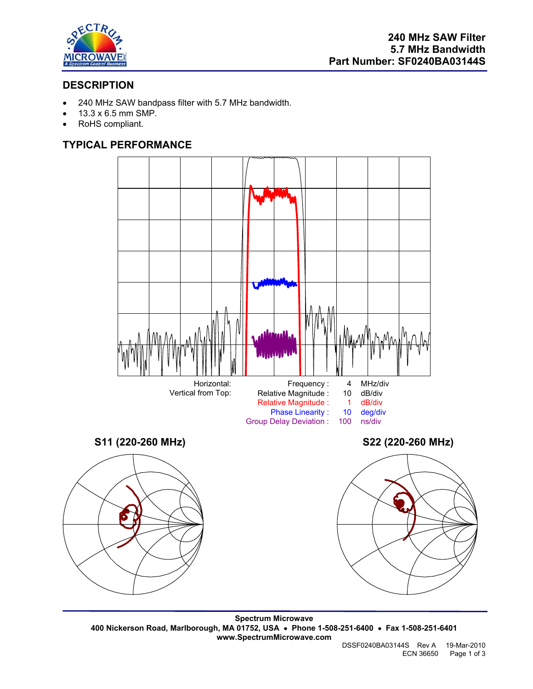

# **DESCRIPTION**

- 240 MHz SAW bandpass filter with 5.7 MHz bandwidth.
- 13.3 x 6.5 mm SMP.
- RoHS compliant.

# **TYPICAL PERFORMANCE**



**Spectrum Microwave 400 Nickerson Road, Marlborough, MA 01752, USA** • **Phone 1-508-251-6400** • **Fax 1-508-251-6401 www.SpectrumMicrowave.com**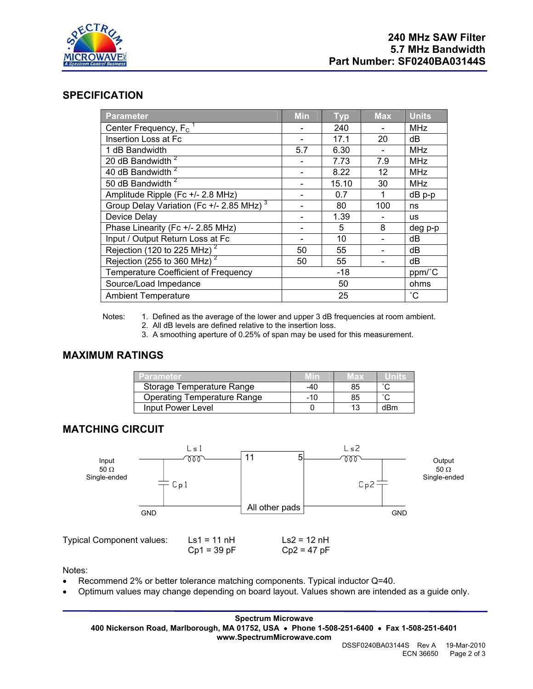

### **SPECIFICATION**

| <b>Parameter</b>                                     | <b>Min</b> | <b>Typ</b> | <b>Max</b>      | <b>Units</b> |
|------------------------------------------------------|------------|------------|-----------------|--------------|
| Center Frequency, F <sub>c</sub>                     |            | 240        |                 | <b>MHz</b>   |
| Insertion Loss at Fc                                 |            | 17.1       | 20              | dB           |
| 1 dB Bandwidth                                       | 5.7        | 6.30       |                 | <b>MHz</b>   |
| 20 dB Bandwidth <sup>2</sup>                         |            | 7.73       | 7.9             | <b>MHz</b>   |
| 40 dB Bandwidth <sup>2</sup>                         |            | 8.22       | 12              | <b>MHz</b>   |
| 50 dB Bandwidth <sup>2</sup>                         |            | 15.10      | 30              | <b>MHz</b>   |
| Amplitude Ripple (Fc +/- 2.8 MHz)                    |            | 0.7        | 1               | $dB$ p-p     |
| Group Delay Variation (Fc +/- 2.85 MHz) <sup>3</sup> |            | 80         | 100             | ns           |
| Device Delay                                         |            | 1.39       |                 | <b>us</b>    |
| Phase Linearity (Fc +/- 2.85 MHz)                    |            | 5          | 8               | deg p-p      |
| Input / Output Return Loss at Fc                     |            | 10         |                 | dB           |
| Rejection (120 to 225 MHz) <sup>2</sup>              | 50         | 55         |                 | dВ           |
| Rejection ( $255$ to 360 MHz) <sup>2</sup>           | 50         | 55         |                 | dB           |
| <b>Temperature Coefficient of Frequency</b>          | $-18$      |            | ppm/°C          |              |
| Source/Load Impedance                                | 50         |            | ohms            |              |
| <b>Ambient Temperature</b>                           | 25         |            | $\rm ^{\circ}C$ |              |

Notes: 1. Defined as the average of the lower and upper 3 dB frequencies at room ambient.

- 2. All dB levels are defined relative to the insertion loss.
- 3. A smoothing aperture of 0.25% of span may be used for this measurement.

### **MAXIMUM RATINGS**

| Parameter                          |       | 183 |                     |
|------------------------------------|-------|-----|---------------------|
| Storage Temperature Range          | -40   | 85  |                     |
| <b>Operating Temperature Range</b> | $-10$ | 85  | $\hat{\phantom{a}}$ |
| Input Power Level                  |       |     | dBm                 |

### **MATCHING CIRCUIT**



Typical Component values:  $Ls1 = 11 \text{ nH}$   $Ls2 = 12 \text{ nH}$ <br>Cp1 = 39 pF  $Cp2 = 47 \text{ pF}$  $Cp1 = 39 pF$ 

Notes:

- Recommend 2% or better tolerance matching components. Typical inductor Q=40.
- Optimum values may change depending on board layout. Values shown are intended as a guide only.